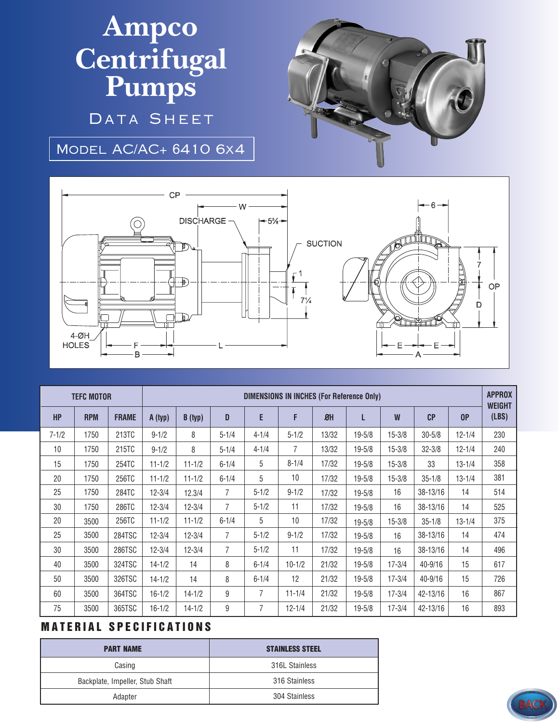## **Ampco Centrifugal Pumps**

DATA SHEET

Model AC/AC+ 6410 6x4





| <b>TEFC MOTOR</b> |            |              | <b>DIMENSIONS IN INCHES (For Reference Only)</b> |            |           |                |            |       |            |            |             |            | <b>APPROX</b><br><b>WEIGHT</b> |
|-------------------|------------|--------------|--------------------------------------------------|------------|-----------|----------------|------------|-------|------------|------------|-------------|------------|--------------------------------|
| <b>HP</b>         | <b>RPM</b> | <b>FRAME</b> | A (typ)                                          | B (typ)    | D         | E              | F          | ØH    | L          | W          | CP          | 0P         | (LBS)                          |
| $7 - 1/2$         | 1750       | 213TC        | $9 - 1/2$                                        | 8          | $5 - 1/4$ | $4 - 1/4$      | $5 - 1/2$  | 13/32 | $19 - 5/8$ | $15 - 3/8$ | $30 - 5/8$  | $12 - 1/4$ | 230                            |
| 10                | 1750       | 215TC        | $9 - 1/2$                                        | 8          | $5 - 1/4$ | $4 - 1/4$      | 7          | 13/32 | $19 - 5/8$ | $15 - 3/8$ | $32 - 3/8$  | $12 - 1/4$ | 240                            |
| 15                | 1750       | 254TC        | $11 - 1/2$                                       | $11 - 1/2$ | $6 - 1/4$ | 5              | $8 - 1/4$  | 17/32 | $19 - 5/8$ | $15 - 3/8$ | 33          | $13 - 1/4$ | 358                            |
| 20                | 1750       | 256TC        | $11 - 1/2$                                       | $11 - 1/2$ | $6 - 1/4$ | 5              | 10         | 17/32 | $19 - 5/8$ | $15 - 3/8$ | $35 - 1/8$  | $13 - 1/4$ | 381                            |
| 25                | 1750       | 284TC        | $12 - 3/4$                                       | 12.3/4     | 7         | $5 - 1/2$      | $9 - 1/2$  | 17/32 | $19 - 5/8$ | 16         | 38-13/16    | 14         | 514                            |
| 30                | 1750       | 286TC        | $12 - 3/4$                                       | $12 - 3/4$ | 7         | $5 - 1/2$      | 11         | 17/32 | $19 - 5/8$ | 16         | 38-13/16    | 14         | 525                            |
| 20                | 3500       | 256TC        | $11 - 1/2$                                       | $11 - 1/2$ | $6 - 1/4$ | 5              | 10         | 17/32 | $19 - 5/8$ | $15 - 3/8$ | $35 - 1/8$  | $13 - 1/4$ | 375                            |
| 25                | 3500       | 284TSC       | $12 - 3/4$                                       | $12 - 3/4$ | 7         | $5 - 1/2$      | $9 - 1/2$  | 17/32 | $19 - 5/8$ | 16         | 38-13/16    | 14         | 474                            |
| 30                | 3500       | 286TSC       | $12 - 3/4$                                       | $12 - 3/4$ | 7         | $5 - 1/2$      | 11         | 17/32 | $19 - 5/8$ | 16         | 38-13/16    | 14         | 496                            |
| 40                | 3500       | 324TSC       | $14 - 1/2$                                       | 14         | 8         | $6 - 1/4$      | $10 - 1/2$ | 21/32 | $19 - 5/8$ | $17 - 3/4$ | 40-9/16     | 15         | 617                            |
| 50                | 3500       | 326TSC       | $14 - 1/2$                                       | 14         | 8         | $6 - 1/4$      | 12         | 21/32 | $19 - 5/8$ | $17 - 3/4$ | $40 - 9/16$ | 15         | 726                            |
| 60                | 3500       | 364TSC       | $16 - 1/2$                                       | $14 - 1/2$ | 9         | $\overline{7}$ | $11 - 1/4$ | 21/32 | $19 - 5/8$ | $17 - 3/4$ | 42-13/16    | 16         | 867                            |
| 75                | 3500       | 365TSC       | $16 - 1/2$                                       | $14 - 1/2$ | 9         | 7              | $12 - 1/4$ | 21/32 | $19 - 5/8$ | $17 - 3/4$ | 42-13/16    | 16         | 893                            |

## **MATERIAL SPECIFICATIONS**

| <b>PART NAME</b>                | <b>STAINLESS STEEL</b> |  |  |  |  |
|---------------------------------|------------------------|--|--|--|--|
| Casing                          | 316L Stainless         |  |  |  |  |
| Backplate, Impeller, Stub Shaft | 316 Stainless          |  |  |  |  |
| Adapter                         | 304 Stainless          |  |  |  |  |